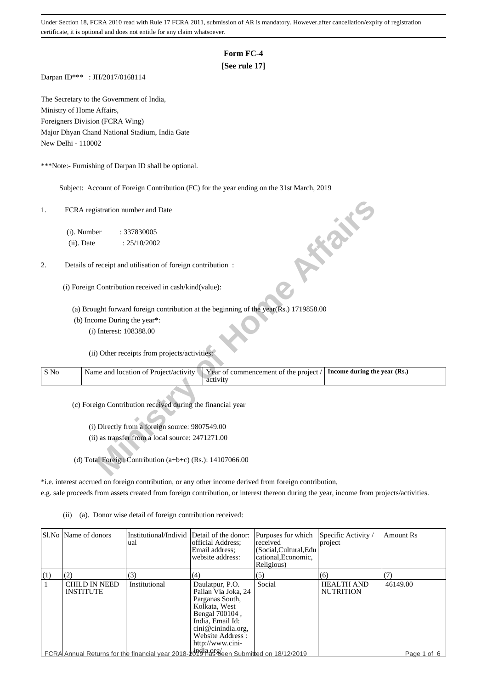# **Form FC-4**

# **[See rule 17]**

Darpan ID\*\*\* : JH/2017/0168114

The Secretary to the Government of India, Ministry of Home Affairs, Foreigners Division (FCRA Wing) Major Dhyan Chand National Stadium, India Gate New Delhi - 110002

\*\*\*Note:- Furnishing of Darpan ID shall be optional.

Subject: Account of Foreign Contribution (FC) for the year ending on the 31st March, 2019

#### 2. Details of receipt and utilisation of foreign contribution :

| 1.   | FCRA registration number and Date                                                                                          |
|------|----------------------------------------------------------------------------------------------------------------------------|
|      | (i). Number<br>: 337830005                                                                                                 |
|      | <b>10 % %</b><br>(ii). Date<br>: 25/10/2002                                                                                |
| 2.   | Details of receipt and utilisation of foreign contribution :                                                               |
|      | (i) Foreign Contribution received in cash/kind(value):                                                                     |
|      | (a) Brought forward foreign contribution at the beginning of the year(Rs.) 1719858.00                                      |
|      | (b) Income During the year*:                                                                                               |
|      | (i) Interest: 108388.00                                                                                                    |
|      | (ii) Other receipts from projects/activities:                                                                              |
| S No | Name and location of Project/activity<br>Year of commencement of the project /<br>Income during the year (Rs.)<br>activity |
|      | (c) Foreign Contribution received during the financial year                                                                |
|      | (i) Directly from a foreign source: 9807549.00                                                                             |
|      | (ii) as transfer from a local source: 2471271.00                                                                           |
|      |                                                                                                                            |
|      | (d) Total Foreign Contribution (a+b+c) (Rs.): $14107066.00$                                                                |

\*i.e. interest accrued on foreign contribution, or any other income derived from foreign contribution,

- e.g. sale proceeds from assets created from foreign contribution, or interest thereon during the year, income from projects/activities.
	- (ii) (a). Donor wise detail of foreign contribution received:

|     | SLNo Name of donors               | Institutional/Individ Detail of the donor:<br>ual                                                          | official Address:<br>Email address:<br>website address:                                                                                                                        | Purposes for which<br>received<br>(Social, Cultural, Edu<br>cational, Economic,<br>Religious) | Specific Activity /<br>project        | <b>Amount Rs</b> |
|-----|-----------------------------------|------------------------------------------------------------------------------------------------------------|--------------------------------------------------------------------------------------------------------------------------------------------------------------------------------|-----------------------------------------------------------------------------------------------|---------------------------------------|------------------|
| (1) | (2)                               | (3)                                                                                                        | (4)                                                                                                                                                                            | (5)                                                                                           | (6)                                   | (7)              |
|     | CHILD IN NEED<br><b>INSTITUTE</b> | Institutional                                                                                              | Daulatpur, P.O.<br>Pailan Via Joka, 24<br>Parganas South,<br>Kolkata, West<br>Bengal 700104,<br>India, Email Id:<br>cini@cinindia.org,<br>Website Address:<br>http://www.cini- | Social                                                                                        | <b>HEALTH AND</b><br><b>NUTRITION</b> | 46149.00         |
|     |                                   | $\mathsf{\mathsf{LFCRA}}$ Annual Returns for the financial year 2018-2019 has been Submitted on 18/12/2019 |                                                                                                                                                                                |                                                                                               |                                       | Page 1 of 6      |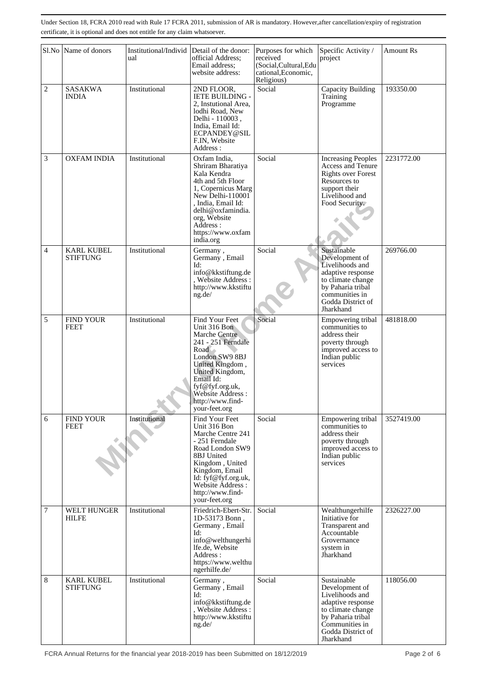|                | Sl.No Name of donors                 | Institutional/Individ<br>ual | Detail of the donor:<br>official Address;<br>Email address;<br>website address:                                                                                                                                                 | Purposes for which<br>received<br>(Social, Cultural, Edu<br>cational, Economic,<br>Religious) | Specific Activity /<br>project                                                                                                                                      | <b>Amount Rs</b> |
|----------------|--------------------------------------|------------------------------|---------------------------------------------------------------------------------------------------------------------------------------------------------------------------------------------------------------------------------|-----------------------------------------------------------------------------------------------|---------------------------------------------------------------------------------------------------------------------------------------------------------------------|------------------|
| $\overline{c}$ | <b>SASAKWA</b><br>INDIA              | Institutional                | 2ND FLOOR,<br><b>IETE BUILDING -</b><br>2, Instutional Area,<br>lodhi Road, New<br>Delhi - 110003,<br>India, Email Id:<br>ECPANDEY@SIL<br>F.IN, Website<br>Address :                                                            | Social                                                                                        | Capacity Building<br>Training<br>Programme                                                                                                                          | 193350.00        |
| 3              | <b>OXFAM INDIA</b>                   | Institutional                | Oxfam India,<br>Shriram Bharatiya<br>Kala Kendra<br>4th and 5th Floor<br>1, Copernicus Marg<br>New Delhi-110001<br>. India. Email Id:<br>delhi@oxfamindia.<br>org, Website<br>Address :<br>https://www.oxfam<br>india.org       | Social                                                                                        | <b>Increasing Peoples</b><br><b>Access and Tenure</b><br><b>Rights over Forest</b><br>Resources to<br>support their<br>Livelihood and<br>Food Security.             | 2231772.00       |
| $\overline{4}$ | <b>KARL KUBEL</b><br><b>STIFTUNG</b> | Institutional                | Germany,<br>Germany, Email<br>Id:<br>info@kkstiftung.de<br>, Website Address :<br>http://www.kkstiftu<br>ng.de/                                                                                                                 | Social                                                                                        | Sustainable<br>Development of<br>Livelihoods and<br>adaptive response<br>to climate change<br>by Paharia tribal<br>communities in<br>Godda District of<br>Jharkhand | 269766.00        |
| 5              | <b>FIND YOUR</b><br><b>FEET</b>      | Institutional                | Find Your Feet<br>Unit 316 Bon<br>Marche Centre<br>241 - 251 Ferndale<br>Road<br>London SW9 8BJ<br>United Kingdom,<br>United Kingdom,<br>Email Id:<br>fyf@fyf.org.uk,<br>Website Address :<br>http://www.find-<br>your-feet.org | Social                                                                                        | Empowering tribal<br>communities to<br>address their<br>poverty through<br>improved access to<br>Indian public<br>services                                          | 481818.00        |
| 6              | <b>FIND YOUR</b><br><b>FEET</b>      | Institutional                | Find Your Feet<br>Unit 316 Bon<br>Marche Centre 241<br>- 251 Ferndale<br>Road London SW9<br>8BJ United<br>Kingdom, United<br>Kingdom, Email<br>Id: fyf@fyf.org.uk,<br>Website Address :<br>http://www.find-<br>your-feet.org    | Social                                                                                        | Empowering tribal<br>communities to<br>address their<br>poverty through<br>improved access to<br>Indian public<br>services                                          | 3527419.00       |
| $\overline{7}$ | WELT HUNGER<br><b>HILFE</b>          | Institutional                | Friedrich-Ebert-Str.<br>1D-53173 Bonn,<br>Germany, Email<br>Id:<br>info@welthungerhi<br>lfe.de, Website<br>Address :<br>https://www.welthu<br>ngerhilfe.de/                                                                     | Social                                                                                        | Wealthungerhilfe<br>Initiative for<br>Transparent and<br>Accountable<br>Grovernance<br>system in<br>Jharkhand                                                       | 2326227.00       |
| 8              | <b>KARL KUBEL</b><br><b>STIFTUNG</b> | Institutional                | Germany,<br>Germany, Email<br>Id:<br>info@kkstiftung.de<br>, Website Address :<br>http://www.kkstiftu<br>ng.de/                                                                                                                 | Social                                                                                        | Sustainable<br>Development of<br>Livelihoods and<br>adaptive response<br>to climate change<br>by Paharia tribal<br>Communities in<br>Godda District of<br>Jharkhand | 118056.00        |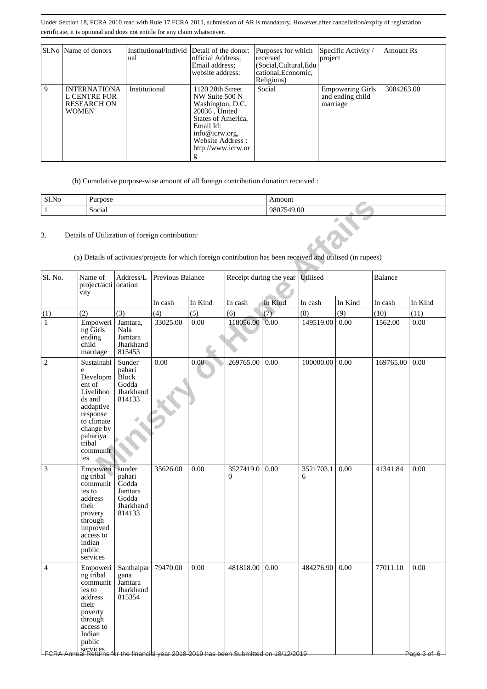|   | Sl.No   Name of donors                                                           | Institutional/Individ Detail of the donor:<br>ual | official Address;<br>Email address:<br>website address:                                                                                                                     | Purposes for which<br>received<br>(Social, Cultural, Edu<br>cational, Economic,<br>Religious) | Specific Activity /<br>project                          | <b>Amount Rs</b> |
|---|----------------------------------------------------------------------------------|---------------------------------------------------|-----------------------------------------------------------------------------------------------------------------------------------------------------------------------------|-----------------------------------------------------------------------------------------------|---------------------------------------------------------|------------------|
| 9 | <b>INTERNATIONA</b><br><b>L CENTRE FOR</b><br><b>RESEARCH ON</b><br><b>WOMEN</b> | Institutional                                     | 1120 20th Street<br>NW Suite 500 N<br>Washington, D.C.<br>20036, United<br>States of America.<br>Email Id:<br>info@icrw.org,<br>Website Address:<br>http://www.icrw.or<br>g | Social                                                                                        | <b>Empowering Girls</b><br>and ending child<br>marriage | 3084263.00       |

(b) Cumulative purpose-wise amount of all foreign contribution donation received :

| Sl.No | Purpose                        | Amount      |
|-------|--------------------------------|-------------|
|       | $\cdot$ $\cdot$<br>-<br>Social | 00.<br>-980 |

| <b>SLINO</b> | rurpose                                                                                                                                                   |                                                                      |                                                 |          |                                                                                                                | Alliouill  |                |         |           |                                 |
|--------------|-----------------------------------------------------------------------------------------------------------------------------------------------------------|----------------------------------------------------------------------|-------------------------------------------------|----------|----------------------------------------------------------------------------------------------------------------|------------|----------------|---------|-----------|---------------------------------|
| $\,1$        | Social                                                                                                                                                    |                                                                      |                                                 |          |                                                                                                                | 9807549.00 |                |         |           |                                 |
| 3.           |                                                                                                                                                           |                                                                      | Details of Utilization of foreign contribution: |          | (a) Details of activities/projects for which foreign contribution has been received and utilised (in rupees)   |            |                |         |           |                                 |
| Sl. No.      | Name of<br>project/acti ocation<br>vity                                                                                                                   | Address/L                                                            | Previous Balance                                |          | Receipt during the year Utilised                                                                               |            |                |         | Balance   |                                 |
|              |                                                                                                                                                           |                                                                      | In cash                                         | In Kind  | In cash                                                                                                        | In Kind    | In cash        | In Kind | In cash   | In Kind                         |
| (1)          | (2)                                                                                                                                                       | (3)                                                                  | (4)                                             | (5)      | (6)                                                                                                            | (7)        | (8)            | (9)     | (10)      | (11)                            |
| $\mathbf{1}$ | Empoweri<br>ng Girls<br>ending<br>child<br>marriage                                                                                                       | Jamtara,<br>Nala<br>Jamtara<br>Jharkhand<br>815453                   | 33025.00                                        | 0.00     | 118056.00                                                                                                      | 0.00       | 149519.00      | 0.00    | 1562.00   | 0.00                            |
| $\mathbf{2}$ | Sustainabl<br>e<br>Developm<br>ent of<br>Livelihoo<br>ds and<br>addaptive<br>response<br>to climate<br>change by<br>pahariya<br>tribal<br>communit<br>ies | Sunder<br>pahari<br><b>Block</b><br>Godda<br>Jharkhand<br>814133     | 0.00                                            | 0.00     | 269765.00                                                                                                      | 0.00       | 100000.00      | 0.00    | 169765.00 | 0.00                            |
| 3            | Empoweri<br>ng tribal<br>communit<br>ies to<br>address<br>their<br>provery<br>through<br>improved<br>access to<br>indian<br>public<br>services            | sunder<br>pahari<br>Godda<br>Jamtara<br>Godda<br>Jharkhand<br>814133 | 35626.00                                        | 0.00     | 3527419.0<br>$\Omega$                                                                                          | 0.00       | 3521703.1<br>6 | 0.00    | 41341.84  | 0.00                            |
| 4            | Empoweri<br>ng tribal<br>communit<br>ies to<br>address<br>their<br>poverty<br>through<br>access to<br>Indian<br>public                                    | Santhalpar<br>gana<br>Jamtara<br>Jharkhand<br>815354                 | 79470.00                                        | $0.00\,$ | 481818.00 0.00<br> <br>  FCRA Annual Returns for the financial year 2018 2019 has been Submitted on 18/12/2019 |            | 484276.90 0.00 |         | 77011.10  | 0.00<br><del>Plage 3 of 6</del> |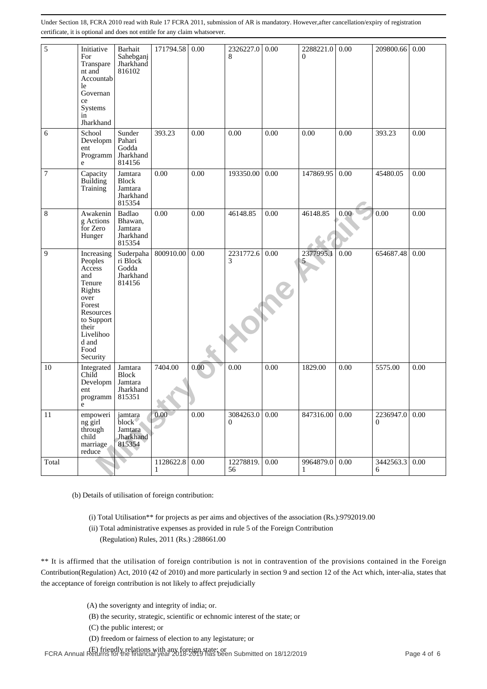| 5     | Initiative<br>For<br>Transpare<br>nt and<br>Accountab<br>le<br>Governan<br>ce<br>Systems<br>in<br>Jharkhand                                                                                                                                                                                                                                                                                                             | Barhait<br>Sahebganj<br>Jharkhand<br>816102                                                                                                                                                                                                                                | 171794.58      | 0.00       | 2326227.0<br>8  | 0.00 | 2288221.0<br>$\Omega$                                                                               | 0.00 | 209800.66             | 0.00 |
|-------|-------------------------------------------------------------------------------------------------------------------------------------------------------------------------------------------------------------------------------------------------------------------------------------------------------------------------------------------------------------------------------------------------------------------------|----------------------------------------------------------------------------------------------------------------------------------------------------------------------------------------------------------------------------------------------------------------------------|----------------|------------|-----------------|------|-----------------------------------------------------------------------------------------------------|------|-----------------------|------|
| 6     | School<br>Developm<br>ent<br>Programm<br>e                                                                                                                                                                                                                                                                                                                                                                              | Sunder<br>Pahari<br>Godda<br>Jharkhand<br>814156                                                                                                                                                                                                                           | 393.23         | 0.00       | 0.00            | 0.00 | 0.00                                                                                                | 0.00 | 393.23                | 0.00 |
| 7     | Capacity<br>Building<br>Training                                                                                                                                                                                                                                                                                                                                                                                        | Jamtara<br><b>Block</b><br>Jamtara<br>Jharkhand<br>815354                                                                                                                                                                                                                  | 0.00           | 0.00       | 193350.00       | 0.00 | 147869.95                                                                                           | 0.00 | 45480.05              | 0.00 |
| $\,8$ | Awakenin<br>g Actions<br>for Zero<br>Hunger                                                                                                                                                                                                                                                                                                                                                                             | Badlao<br>Bhawan,<br>Jamtara<br>Jharkhand<br>815354                                                                                                                                                                                                                        | 0.00           | 0.00       | 46148.85        | 0.00 | 46148.85                                                                                            | 0.00 | 0.00                  | 0.00 |
| 9     | Increasing<br>Peoples<br>Access<br>and<br>Tenure<br>Rights<br>over<br>Forest<br>Resources<br>to Support<br>their<br>Livelihoo<br>d and<br>Food<br>Security                                                                                                                                                                                                                                                              | Suderpaha<br>ri Block<br>Godda<br>Jharkhand<br>814156                                                                                                                                                                                                                      | 800910.00      | 0.00       | 2231772.6<br>3  | 0.00 | 2377995.1<br>5                                                                                      | 0.00 | 654687.48             | 0.00 |
| 10    | Integrated<br>Child<br>Developm<br>ent<br>programm<br>e                                                                                                                                                                                                                                                                                                                                                                 | Jamtara<br><b>Block</b><br>Jamtara<br>Jharkhand<br>815351                                                                                                                                                                                                                  | 7404.00        | $0.00^{-}$ | 0.00            | 0.00 | 1829.00                                                                                             | 0.00 | 5575.00               | 0.00 |
| 11    | empoweri<br>ng girl<br>through<br>child<br>marriage<br>reduce                                                                                                                                                                                                                                                                                                                                                           | jamtara<br>block <sup>®</sup><br>Jamtara<br>Jharkhand<br>815354                                                                                                                                                                                                            | 0.00           | 0.00       | 3084263.0<br>0  | 0.00 | 847316.00                                                                                           | 0.00 | 2236947.0<br>$\theta$ | 0.00 |
| Total |                                                                                                                                                                                                                                                                                                                                                                                                                         |                                                                                                                                                                                                                                                                            | 1128622.8<br>1 | 0.00       | 12278819.<br>56 | 0.00 | 9964879.0                                                                                           | 0.00 | 3442563.3<br>6        | 0.00 |
|       | (b) Details of utilisation of foreign contribution:<br>** It is affirmed that the utilisation of foreign contribution is not in contravention of the provisions contained in the Foreign<br>Contribution(Regulation) Act, 2010 (42 of 2010) and more particularly in section 9 and section 12 of the Act which, inter-alia, states that<br>the acceptance of foreign contribution is not likely to affect prejudicially | (ii) Total administrative expenses as provided in rule 5 of the Foreign Contribution<br>(Regulation) Rules, 2011 (Rs.):288661.00<br>(A) the soverignty and integrity of india; or.                                                                                         |                |            |                 |      | (i) Total Utilisation** for projects as per aims and objectives of the association (Rs.):9792019.00 |      |                       |      |
|       |                                                                                                                                                                                                                                                                                                                                                                                                                         | (B) the security, strategic, scientific or echnomic interest of the state; or<br>(C) the public interest; or<br>(D) freedom or fairness of election to any legistature; or<br>$(E)$ friendly relations with any foreign state; or $E_1$ in $\frac{1}{2}$ and $\frac{1}{2}$ |                |            |                 |      |                                                                                                     |      |                       |      |
|       |                                                                                                                                                                                                                                                                                                                                                                                                                         |                                                                                                                                                                                                                                                                            |                |            |                 |      |                                                                                                     |      |                       |      |

- (A) the soverignty and integrity of india; or.
- (B) the security, strategic, scientific or echnomic interest of the state; or
- (C) the public interest; or
- (D) freedom or fairness of election to any legistature; or

FCRA Annual Returns for the financial year 2018-2019 has been Submitted on 18/12/2019<br>FCRA Annual Returns for the financial year 2018-2019 has been Submitted on 18/12/2019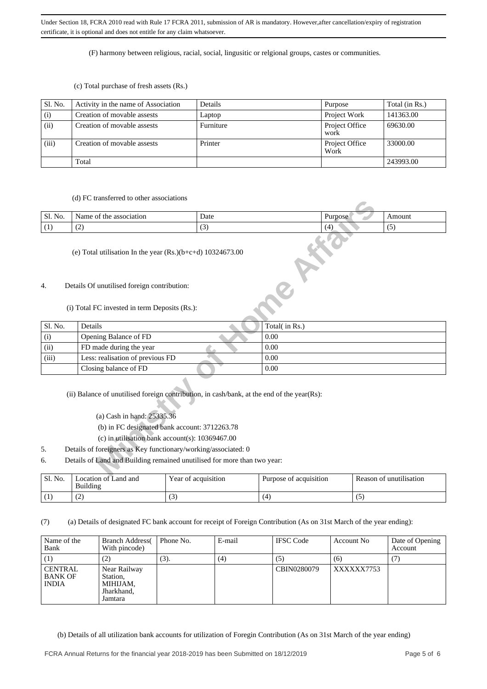(F) harmony between religious, racial, social, lingusitic or relgional groups, castes or communities.

#### (c) Total purchase of fresh assets (Rs.)

| Sl. No. | Activity in the name of Association | Details   | Purpose                | Total (in Rs.) |
|---------|-------------------------------------|-----------|------------------------|----------------|
| (i)     | Creation of movable assests         | Laptop    | Project Work           | 141363.00      |
| (ii)    | Creation of movable assests         | Furniture | Project Office<br>work | 69630.00       |
| (iii)   | Creation of movable assests         | Printer   | Project Office<br>Work | 33000.00       |
|         | Total                               |           |                        | 243993.00      |

#### (d) FC transferred to other associations

| $\sim$ 1<br>No.<br>SI. | the<br>association<br>ΟĪ | Date                     | Purpose |     |
|------------------------|--------------------------|--------------------------|---------|-----|
| $\overline{ }$         | $\sim$                   | $\overline{\phantom{a}}$ | $\cdot$ | . . |
|                        |                          |                          |         |     |

# (e) Total utilisation In the year (Rs.)(b+c+d) 10324673.00

# 4. Details Of unutilised foreign contribution:

#### (i) Total FC invested in term Deposits (Rs.):

|         | (a) I C transiciica to other associations                                                  |      |                |         |        |  |  |  |  |
|---------|--------------------------------------------------------------------------------------------|------|----------------|---------|--------|--|--|--|--|
| Sl. No. | Name of the association                                                                    | Date |                | Purpose | Amount |  |  |  |  |
| (1)     | (2)                                                                                        | (3)  | (4)            |         | (5)    |  |  |  |  |
|         | (e) Total utilisation In the year $(Rs.)(b+c+d)$ 10324673.00                               |      |                |         |        |  |  |  |  |
| 4.      | Details Of unutilised foreign contribution:                                                |      |                |         |        |  |  |  |  |
|         |                                                                                            |      |                |         |        |  |  |  |  |
|         | (i) Total FC invested in term Deposits (Rs.):                                              |      |                |         |        |  |  |  |  |
| Sl. No. | Details                                                                                    |      | Total( in Rs.) |         |        |  |  |  |  |
| (i)     | Opening Balance of FD                                                                      |      | 0.00           |         |        |  |  |  |  |
| (ii)    | FD made during the year                                                                    |      | 0.00           |         |        |  |  |  |  |
| (iii)   | Less: realisation of previous FD                                                           |      | 0.00           |         |        |  |  |  |  |
|         | Closing balance of FD                                                                      |      | 0.00           |         |        |  |  |  |  |
|         | (ii) Balance of unutilised foreign contribution, in cash/bank, at the end of the year(Rs): |      |                |         |        |  |  |  |  |
|         | (a) Cash in hand: 25335.36                                                                 |      |                |         |        |  |  |  |  |
|         | (b) in FC designated bank account: 3712263.78                                              |      |                |         |        |  |  |  |  |
|         | (c) in utilisation bank account(s): $10369467.00$                                          |      |                |         |        |  |  |  |  |
| 5.      | Details of foreigners as Key functionary/working/associated: 0                             |      |                |         |        |  |  |  |  |
| 6.      | Details of Land and Building remained unutilised for more than two year:                   |      |                |         |        |  |  |  |  |
|         |                                                                                            |      |                |         |        |  |  |  |  |

- (a) Cash in hand: 25335.36
- (b) in FC designated bank account: 3712263.78
- (c) in utilisation bank account(s): 10369467.00
- 5. Details of foreigners as Key functionary/working/associated: 0
- 6. Details of Land and Building remained unutilised for more than two year:

| ' Sl. No.    | Location of Land and<br>Building | Year of acquisition | Purpose of acquisition | Reason of unutilisation |
|--------------|----------------------------------|---------------------|------------------------|-------------------------|
| $\mathbf{1}$ | $\sim$<br>ست                     | U                   |                        | $\sim$                  |

(7) (a) Details of designated FC bank account for receipt of Foreign Contribution (As on 31st March of the year ending):

| Name of the<br>Bank                              | <b>Branch Address</b><br>With pincode)                        | Phone No. | E-mail | <b>IFSC</b> Code | Account No | Date of Opening<br>Account |
|--------------------------------------------------|---------------------------------------------------------------|-----------|--------|------------------|------------|----------------------------|
|                                                  | (2)                                                           | (3).      | (4)    | (5)              | (6)        |                            |
| <b>CENTRAL</b><br><b>BANK OF</b><br><b>INDIA</b> | Near Railway<br>Station,<br>MIHIJAM,<br>Jharkhand,<br>Jamtara |           |        | CBIN0280079      | XXXXXX7753 |                            |

(b) Details of all utilization bank accounts for utilization of Foregin Contribution (As on 31st March of the year ending)